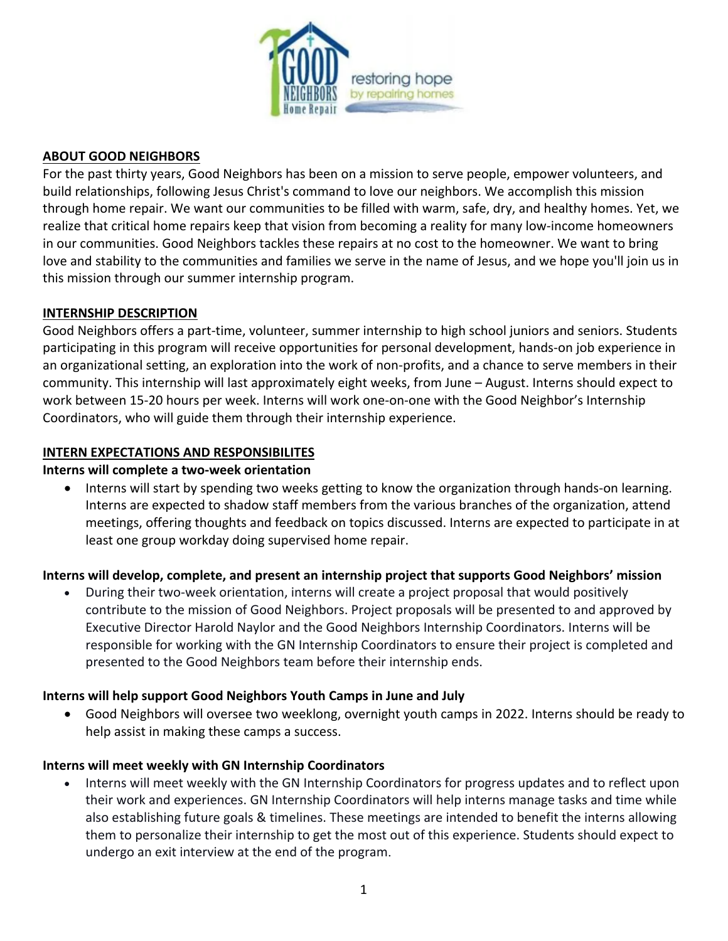

### **ABOUT GOOD NEIGHBORS**

For the past thirty years, Good Neighbors has been on a mission to serve people, empower volunteers, and build relationships, following Jesus Christ's command to love our neighbors. We accomplish this mission through home repair. We want our communities to be filled with warm, safe, dry, and healthy homes. Yet, we realize that critical home repairs keep that vision from becoming a reality for many low-income homeowners in our communities. Good Neighbors tackles these repairs at no cost to the homeowner. We want to bring love and stability to the communities and families we serve in the name of Jesus, and we hope you'll join us in this mission through our summer internship program.

### **INTERNSHIP DESCRIPTION**

Good Neighbors offers a part-time, volunteer, summer internship to high school juniors and seniors. Students participating in this program will receive opportunities for personal development, hands-on job experience in an organizational setting, an exploration into the work of non-profits, and a chance to serve members in their community. This internship will last approximately eight weeks, from June – August. Interns should expect to work between 15-20 hours per week. Interns will work one-on-one with the Good Neighbor's Internship Coordinators, who will guide them through their internship experience.

### **INTERN EXPECTATIONS AND RESPONSIBILITES**

### **Interns will complete a two-week orientation**

• Interns will start by spending two weeks getting to know the organization through hands-on learning. Interns are expected to shadow staff members from the various branches of the organization, attend meetings, offering thoughts and feedback on topics discussed. Interns are expected to participate in at least one group workday doing supervised home repair.

# **Interns will develop, complete, and present an internship project that supports Good Neighbors' mission**

• During their two-week orientation, interns will create a project proposal that would positively contribute to the mission of Good Neighbors. Project proposals will be presented to and approved by Executive Director Harold Naylor and the Good Neighbors Internship Coordinators. Interns will be responsible for working with the GN Internship Coordinators to ensure their project is completed and presented to the Good Neighbors team before their internship ends.

# **Interns will help support Good Neighbors Youth Camps in June and July**

• Good Neighbors will oversee two weeklong, overnight youth camps in 2022. Interns should be ready to help assist in making these camps a success.

# **Interns will meet weekly with GN Internship Coordinators**

• Interns will meet weekly with the GN Internship Coordinators for progress updates and to reflect upon their work and experiences. GN Internship Coordinators will help interns manage tasks and time while also establishing future goals & timelines. These meetings are intended to benefit the interns allowing them to personalize their internship to get the most out of this experience. Students should expect to undergo an exit interview at the end of the program.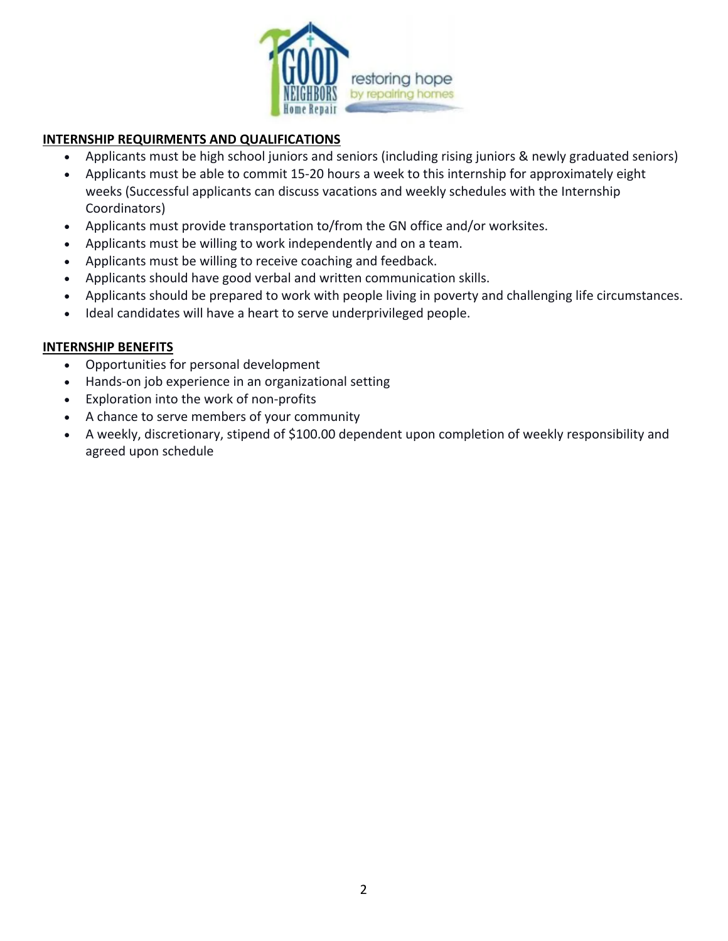

### **INTERNSHIP REQUIRMENTS AND QUALIFICATIONS**

- Applicants must be high school juniors and seniors (including rising juniors & newly graduated seniors)
- Applicants must be able to commit 15-20 hours a week to this internship for approximately eight weeks (Successful applicants can discuss vacations and weekly schedules with the Internship Coordinators)
- Applicants must provide transportation to/from the GN office and/or worksites.
- Applicants must be willing to work independently and on a team.
- Applicants must be willing to receive coaching and feedback.
- Applicants should have good verbal and written communication skills.
- Applicants should be prepared to work with people living in poverty and challenging life circumstances.
- Ideal candidates will have a heart to serve underprivileged people.

### **INTERNSHIP BENEFITS**

- Opportunities for personal development
- Hands-on job experience in an organizational setting
- Exploration into the work of non-profits
- A chance to serve members of your community
- A weekly, discretionary, stipend of \$100.00 dependent upon completion of weekly responsibility and agreed upon schedule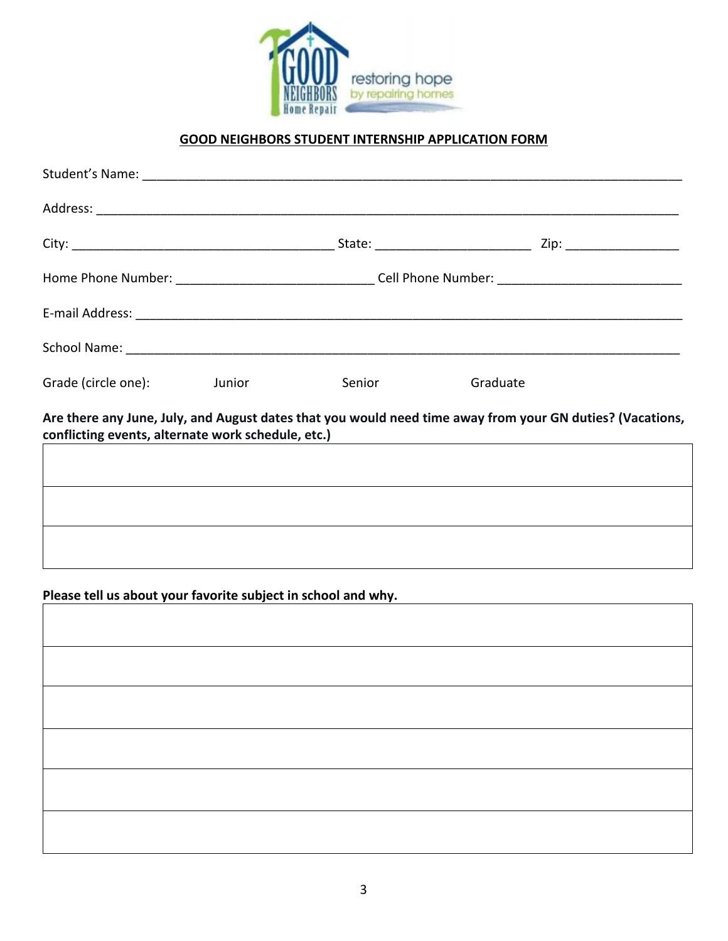

## **GOOD NEIGHBORS STUDENT INTERNSHIP APPLICATION FORM**

| Grade (circle one):                                           | <b>Junior State State State</b> | Senior | Graduate                                                                                                                                                                                                                    |  |  |
|---------------------------------------------------------------|---------------------------------|--------|-----------------------------------------------------------------------------------------------------------------------------------------------------------------------------------------------------------------------------|--|--|
|                                                               |                                 |        | Are there any June, July, and August dates that you would need time away from your GN duties? (Vacations,<br>conflicting events, alternate work schedule, etc.) example and the set of the set of the set of the set of the |  |  |
|                                                               |                                 |        |                                                                                                                                                                                                                             |  |  |
|                                                               |                                 |        |                                                                                                                                                                                                                             |  |  |
|                                                               |                                 |        |                                                                                                                                                                                                                             |  |  |
| Please tell us about your favorite subject in school and why. |                                 |        | ,我们也不会有什么。""我们的人,我们也不会有什么?""我们的人,我们也不会有什么?""我们的人,我们也不会有什么?""我们的人,我们也不会有什么?""我们的人                                                                                                                                            |  |  |
|                                                               |                                 |        |                                                                                                                                                                                                                             |  |  |
|                                                               |                                 |        |                                                                                                                                                                                                                             |  |  |
|                                                               |                                 |        |                                                                                                                                                                                                                             |  |  |
|                                                               |                                 |        |                                                                                                                                                                                                                             |  |  |
|                                                               |                                 |        |                                                                                                                                                                                                                             |  |  |
|                                                               |                                 |        |                                                                                                                                                                                                                             |  |  |
|                                                               |                                 |        |                                                                                                                                                                                                                             |  |  |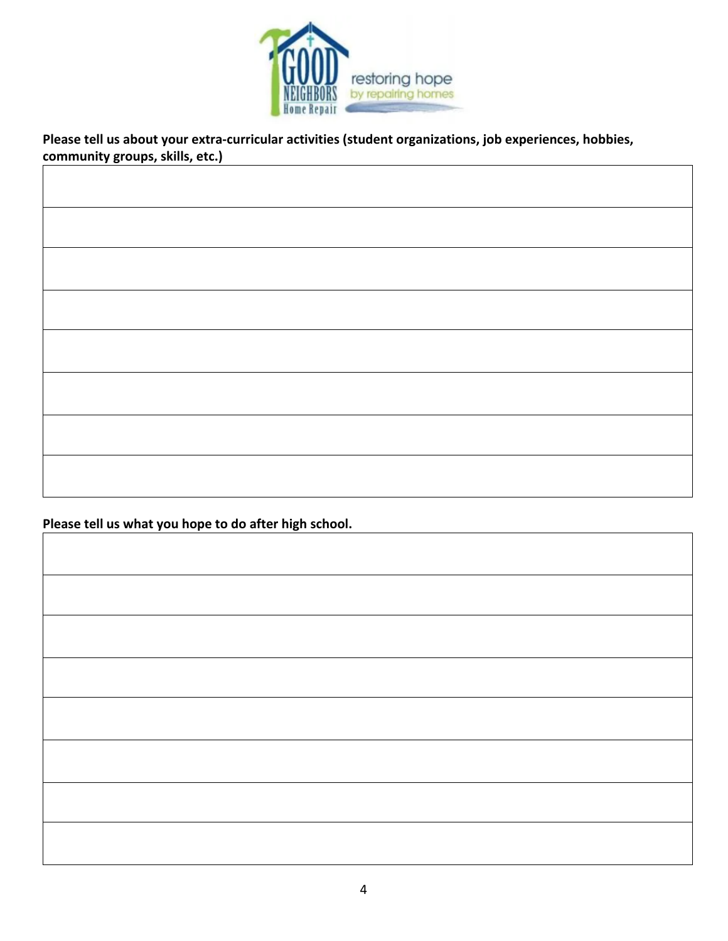

**Please tell us about your extra-curricular activities (student organizations, job experiences, hobbies, community groups, skills, etc.)**

**Please tell us what you hope to do after high school.**